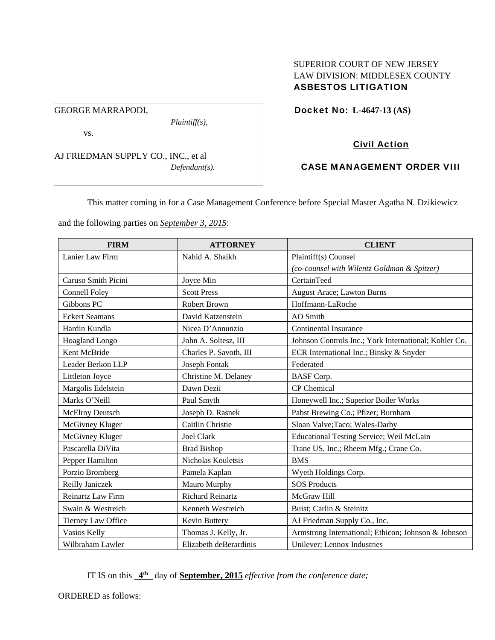## SUPERIOR COURT OF NEW JERSEY LAW DIVISION: MIDDLESEX COUNTY ASBESTOS LITIGATION

Docket No: **L-4647-13 (AS)** 

vs.

GEORGE MARRAPODI,

AJ FRIEDMAN SUPPLY CO., INC., et al *Defendant(s).*

*Plaintiff(s),* 

## Civil Action

# CASE MANAGEMENT ORDER VIII

This matter coming in for a Case Management Conference before Special Master Agatha N. Dzikiewicz

and the following parties on *September 3, 2015*:

| <b>FIRM</b>           | <b>ATTORNEY</b>         | <b>CLIENT</b>                                         |
|-----------------------|-------------------------|-------------------------------------------------------|
| Lanier Law Firm       | Nahid A. Shaikh         | Plaintiff(s) Counsel                                  |
|                       |                         | (co-counsel with Wilentz Goldman & Spitzer)           |
| Caruso Smith Picini   | Joyce Min               | CertainTeed                                           |
| <b>Connell Foley</b>  | <b>Scott Press</b>      | August Arace; Lawton Burns                            |
| Gibbons PC            | <b>Robert Brown</b>     | Hoffmann-LaRoche                                      |
| <b>Eckert Seamans</b> | David Katzenstein       | <b>AO</b> Smith                                       |
| Hardin Kundla         | Nicea D'Annunzio        | <b>Continental Insurance</b>                          |
| Hoagland Longo        | John A. Soltesz, III    | Johnson Controls Inc.; York International; Kohler Co. |
| Kent McBride          | Charles P. Savoth, III  | ECR International Inc.; Binsky & Snyder               |
| Leader Berkon LLP     | <b>Joseph Fontak</b>    | Federated                                             |
| Littleton Joyce       | Christine M. Delaney    | <b>BASF</b> Corp.                                     |
| Margolis Edelstein    | Dawn Dezii              | <b>CP</b> Chemical                                    |
| Marks O'Neill         | Paul Smyth              | Honeywell Inc.; Superior Boiler Works                 |
| McElroy Deutsch       | Joseph D. Rasnek        | Pabst Brewing Co.; Pfizer; Burnham                    |
| McGivney Kluger       | Caitlin Christie        | Sloan Valve; Taco; Wales-Darby                        |
| McGivney Kluger       | <b>Joel Clark</b>       | Educational Testing Service; Weil McLain              |
| Pascarella DiVita     | <b>Brad Bishop</b>      | Trane US, Inc.; Rheem Mfg.; Crane Co.                 |
| Pepper Hamilton       | Nicholas Kouletsis      | <b>BMS</b>                                            |
| Porzio Bromberg       | Pamela Kaplan           | Wyeth Holdings Corp.                                  |
| Reilly Janiczek       | Mauro Murphy            | <b>SOS Products</b>                                   |
| Reinartz Law Firm     | <b>Richard Reinartz</b> | McGraw Hill                                           |
| Swain & Westreich     | Kenneth Westreich       | Buist; Carlin & Steinitz                              |
| Tierney Law Office    | Kevin Buttery           | AJ Friedman Supply Co., Inc.                          |
| Vasios Kelly          | Thomas J. Kelly, Jr.    | Armstrong International; Ethicon; Johnson & Johnson   |
| Wilbraham Lawler      | Elizabeth deBerardinis  | Unilever; Lennox Industries                           |

IT IS on this **4th** day of **September, 2015** *effective from the conference date;*

ORDERED as follows: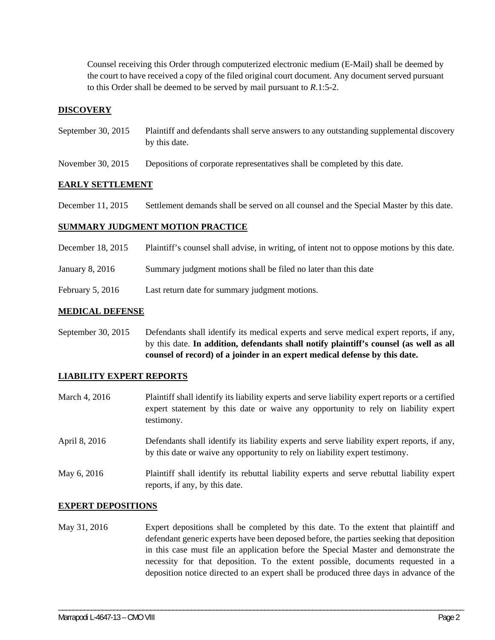Counsel receiving this Order through computerized electronic medium (E-Mail) shall be deemed by the court to have received a copy of the filed original court document. Any document served pursuant to this Order shall be deemed to be served by mail pursuant to *R*.1:5-2.

### **DISCOVERY**

- September 30, 2015 Plaintiff and defendants shall serve answers to any outstanding supplemental discovery by this date.
- November 30, 2015 Depositions of corporate representatives shall be completed by this date.

### **EARLY SETTLEMENT**

December 11, 2015 Settlement demands shall be served on all counsel and the Special Master by this date.

#### **SUMMARY JUDGMENT MOTION PRACTICE**

- December 18, 2015 Plaintiff's counsel shall advise, in writing, of intent not to oppose motions by this date.
- January 8, 2016 Summary judgment motions shall be filed no later than this date
- February 5, 2016 Last return date for summary judgment motions.

#### **MEDICAL DEFENSE**

September 30, 2015 Defendants shall identify its medical experts and serve medical expert reports, if any, by this date. **In addition, defendants shall notify plaintiff's counsel (as well as all counsel of record) of a joinder in an expert medical defense by this date.** 

#### **LIABILITY EXPERT REPORTS**

- March 4, 2016 Plaintiff shall identify its liability experts and serve liability expert reports or a certified expert statement by this date or waive any opportunity to rely on liability expert testimony. April 8, 2016 Defendants shall identify its liability experts and serve liability expert reports, if any, by this date or waive any opportunity to rely on liability expert testimony.
- May 6, 2016 Plaintiff shall identify its rebuttal liability experts and serve rebuttal liability expert reports, if any, by this date.

#### **EXPERT DEPOSITIONS**

May 31, 2016 Expert depositions shall be completed by this date. To the extent that plaintiff and defendant generic experts have been deposed before, the parties seeking that deposition in this case must file an application before the Special Master and demonstrate the necessity for that deposition. To the extent possible, documents requested in a deposition notice directed to an expert shall be produced three days in advance of the

\_\_\_\_\_\_\_\_\_\_\_\_\_\_\_\_\_\_\_\_\_\_\_\_\_\_\_\_\_\_\_\_\_\_\_\_\_\_\_\_\_\_\_\_\_\_\_\_\_\_\_\_\_\_\_\_\_\_\_\_\_\_\_\_\_\_\_\_\_\_\_\_\_\_\_\_\_\_\_\_\_\_\_\_\_\_\_\_\_\_\_\_\_\_\_\_\_\_\_\_\_\_\_\_\_\_\_\_\_\_